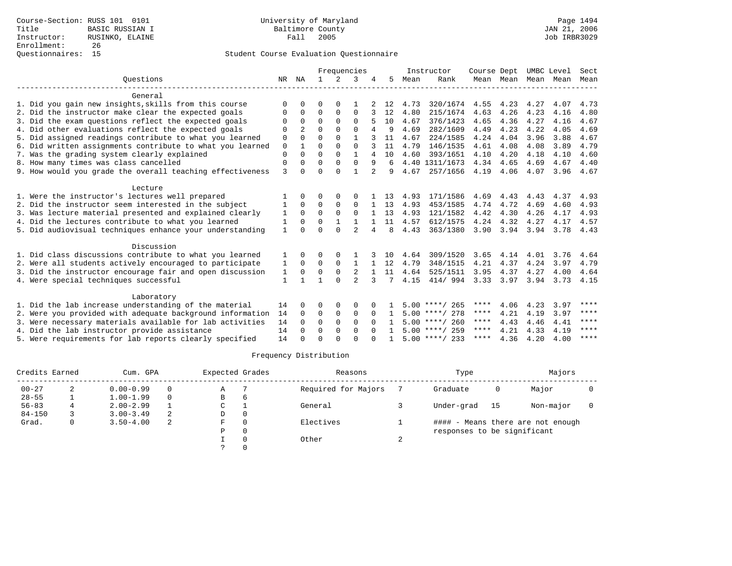|                                                           |              |                |              |               | Frequencies    |          |    |      | Instructor       | Course Dept       |           | UMBC Level |      | Sect        |
|-----------------------------------------------------------|--------------|----------------|--------------|---------------|----------------|----------|----|------|------------------|-------------------|-----------|------------|------|-------------|
| Ouestions                                                 | NR           | ΝA             | $\mathbf{1}$ | $\mathcal{L}$ | 3              |          | 5. | Mean | Rank             |                   | Mean Mean | Mean       | Mean | Mean        |
| General                                                   |              |                |              |               |                |          |    |      |                  |                   |           |            |      |             |
| 1. Did you gain new insights, skills from this course     | $\Omega$     | U              | O            | $\Omega$      |                |          | 12 | 4.73 | 320/1674         | 4.55              | 4.23      | 4.27       | 4.07 | 4.73        |
| 2. Did the instructor make clear the expected goals       | $\Omega$     | 0              | $\Omega$     | 0             | $\Omega$       |          | 12 | 4.80 | 215/1674         | 4.63              | 4.26      | 4.23       | 4.16 | 4.80        |
| 3. Did the exam questions reflect the expected goals      | $\Omega$     | $\Omega$       | $\Omega$     | $\Omega$      | $\Omega$       |          | 10 | 4.67 | 376/1423         | 4.65              | 4.36      | 4.27       | 4.16 | 4.67        |
| 4. Did other evaluations reflect the expected goals       | $\Omega$     | $\overline{a}$ | $\Omega$     | $\Omega$      | $\Omega$       |          | 9  | 4.69 | 282/1609         | 4.49              | 4.23      | 4.22       | 4.05 | 4.69        |
| 5. Did assigned readings contribute to what you learned   | 0            | $\Omega$       | $\Omega$     | $\Omega$      | 1              |          | 11 | 4.67 | 224/1585         | 4.24              | 4.04      | 3.96       | 3.88 | 4.67        |
| 6. Did written assignments contribute to what you learned | 0            | $\mathbf{1}$   | $\Omega$     | $\Omega$      | $\Omega$       |          | 11 | 4.79 | 146/1535         | 4.61              | 4.08      | 4.08       | 3.89 | 4.79        |
| 7. Was the grading system clearly explained               | $\Omega$     |                | $\Omega$     | $\Omega$      | $\mathbf{1}$   | 4        | 10 | 4.60 | 393/1651         | 4.10              | 4.20      | 4.18       | 4.10 | 4.60        |
| 8. How many times was class cancelled                     | 0            | 0              | $\Omega$     | $\Omega$      | $\Omega$       | 9        | 6  |      | 4.40 1311/1673   | 4.34              | 4.65      | 4.69       | 4.67 | 4.40        |
| 9. How would you grade the overall teaching effectiveness | $\mathbf{3}$ | $\Omega$       | $\Omega$     | $\Omega$      | $\mathbf{1}$   |          | 9  | 4.67 | 257/1656         | 4.19              | 4.06      | 4.07       | 3.96 | 4.67        |
| Lecture                                                   |              |                |              |               |                |          |    |      |                  |                   |           |            |      |             |
| 1. Were the instructor's lectures well prepared           |              |                | 0            | $\Omega$      | O              |          | 13 | 4.93 | 171/1586         | 4.69              | 4.43      | 4.43       | 4.37 | 4.93        |
| 2. Did the instructor seem interested in the subject      |              | 0              | 0            | 0             | $\mathbf 0$    |          | 13 | 4.93 | 453/1585         | 4.74              | 4.72      | 4.69       | 4.60 | 4.93        |
| 3. Was lecture material presented and explained clearly   | 1            | $\Omega$       | $\Omega$     | $\Omega$      | $\Omega$       |          | 13 | 4.93 | 121/1582         | 4.42              | 4.30      | 4.26       | 4.17 | 4.93        |
| 4. Did the lectures contribute to what you learned        | 1            | $\Omega$       | $\Omega$     |               |                |          | 11 | 4.57 | 612/1575         | 4.24              | 4.32      | 4.27       | 4.17 | 4.57        |
| 5. Did audiovisual techniques enhance your understanding  | $\mathbf{1}$ | <sup>n</sup>   | $\cap$       | $\cap$        | $\mathfrak{D}$ |          | R  | 4.43 | 363/1380         | 3.90              | 3.94      | 3.94       | 3.78 | 4.43        |
| Discussion                                                |              |                |              |               |                |          |    |      |                  |                   |           |            |      |             |
| 1. Did class discussions contribute to what you learned   |              |                | 0            |               |                |          | 10 | 4.64 | 309/1520         | 3.65              | 4.14      | 4.01       | 3.76 | 4.64        |
| 2. Were all students actively encouraged to participate   | 1            | $\Omega$       | $\Omega$     | $\Omega$      | $\mathbf{1}$   |          | 12 | 4.79 | 348/1515         | 4.21              | 4.37      | 4.24       | 3.97 | 4.79        |
| 3. Did the instructor encourage fair and open discussion  | 1            | $\Omega$       | 0            | $\mathbf 0$   | 2              |          | 11 | 4.64 | 525/1511         | 3.95              | 4.37      | 4.27       | 4.00 | 4.64        |
| 4. Were special techniques successful                     | $\mathbf{1}$ |                |              | $\Omega$      | $\overline{a}$ | 3        | 7  | 4.15 | 414/ 994         | $3.33 \quad 3.97$ |           | 3.94       | 3.73 | 4.15        |
| Laboratory                                                |              |                |              |               |                |          |    |      |                  |                   |           |            |      |             |
| 1. Did the lab increase understanding of the material     | 14           | 0              | O            | 0             | 0              |          |    |      | $5.00$ ****/ 265 | ****              | 4.06      | 4.23       | 3.97 | $***$ * * * |
| 2. Were you provided with adequate background information | 14           | $\Omega$       | $\Omega$     | $\mathbf 0$   | $\Omega$       | $\Omega$ | 1  |      | $5.00$ ****/ 278 | ****              | 4.21      | 4.19       | 3.97 | $***$ * * * |
| 3. Were necessary materials available for lab activities  | 14           | $\Omega$       | $\Omega$     | $\Omega$      | $\Omega$       | $\Omega$ |    |      | $5.00$ ****/ 260 | ****              | 4.43      | 4.46       | 4.41 | ****        |
| 4. Did the lab instructor provide assistance              | 14           | $\Omega$       | $\Omega$     | $\Omega$      | $\Omega$       | $\cap$   |    |      | $5.00$ ****/ 259 | ****              | 4.21      | 4.33       | 4.19 | ****        |
| 5. Were requirements for lab reports clearly specified    | 14           | U              | U            | ∩             | $\cap$         |          |    |      | $5.00$ ****/ 233 | ****              | 4.36      | 4.20       | 4.00 | $***$ * * * |

| Credits Earned |   | Cum. GPA      |          | Expected Grades |          | Reasons             | Type                        |    | Majors                            |  |
|----------------|---|---------------|----------|-----------------|----------|---------------------|-----------------------------|----|-----------------------------------|--|
| $00 - 27$      | 2 | $0.00 - 0.99$ | $\Omega$ | Α               |          | Required for Majors | Graduate                    | 0  | Major                             |  |
| $28 - 55$      |   | $1.00 - 1.99$ | $\Omega$ | B               | b        |                     |                             |    |                                   |  |
| $56 - 83$      |   | $2.00 - 2.99$ |          | C               |          | General             | Under-grad                  | 15 | Non-major                         |  |
| $84 - 150$     |   | $3.00 - 3.49$ |          | D               | $\Omega$ |                     |                             |    |                                   |  |
| Grad.          |   | $3.50 - 4.00$ | 2        | F               |          | Electives           |                             |    | #### - Means there are not enough |  |
|                |   |               |          | Ρ               |          |                     | responses to be significant |    |                                   |  |
|                |   |               |          |                 |          | Other               |                             |    |                                   |  |
|                |   |               |          |                 |          |                     |                             |    |                                   |  |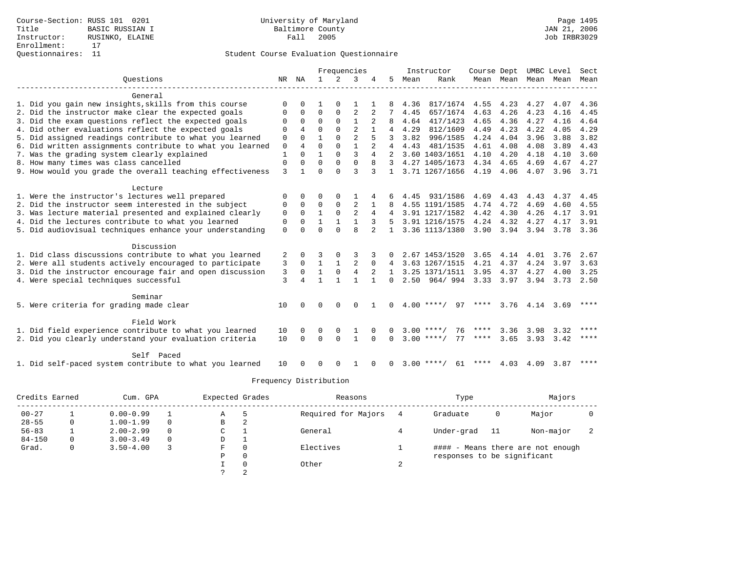|                                                           |             |              |              |              | Frequencies    |               |                |      | Instructor            | Course Dept |                   |                     | UMBC Level | Sect        |
|-----------------------------------------------------------|-------------|--------------|--------------|--------------|----------------|---------------|----------------|------|-----------------------|-------------|-------------------|---------------------|------------|-------------|
| Ouestions                                                 |             | NR NA        | $\mathbf{1}$ | 2            | 3              |               | 5.             | Mean | Rank                  |             |                   | Mean Mean Mean Mean |            | Mean        |
| General                                                   |             |              |              |              |                |               |                |      |                       |             |                   |                     |            |             |
| 1. Did you gain new insights, skills from this course     | $\Omega$    |              |              |              |                |               |                | 4.36 | 817/1674              | 4.55        | 4.23              | 4.27                | 4.07       | 4.36        |
| 2. Did the instructor make clear the expected goals       |             | $\Omega$     | $\Omega$     | $\Omega$     | 2              |               |                | 4.45 | 657/1674              | 4.63        | 4.26              | 4.23                | 4.16       | 4.45        |
| 3. Did the exam questions reflect the expected goals      | $\Omega$    | $\Omega$     | $\Omega$     | $\Omega$     |                |               | 8              | 4.64 | 417/1423              | 4.65        | 4.36              | 4.27                | 4.16       | 4.64        |
| 4. Did other evaluations reflect the expected goals       | $\Omega$    | 4            | $\Omega$     | $\Omega$     | $\mathfrak{D}$ |               | 4              | 4.29 | 812/1609              | 4.49        | 4.23              | 4.22                | 4.05       | 4.29        |
| 5. Did assigned readings contribute to what you learned   | $\mathbf 0$ | $\Omega$     | $\mathbf{1}$ | $\Omega$     | $\overline{2}$ |               | 3              | 3.82 | 996/1585              | 4.24        | 4.04              | 3.96                | 3.88       | 3.82        |
| 6. Did written assignments contribute to what you learned | $\mathbf 0$ | 4            | $\Omega$     | $\Omega$     | $\mathbf{1}$   |               | $\overline{4}$ | 4.43 | 481/1535              | 4.61        | 4.08              | 4.08                | 3.89       | 4.43        |
| 7. Was the grading system clearly explained               | 1           | $\Omega$     | $\mathbf{1}$ | $\Omega$     | 3              | 4             |                |      | 2 3.60 1403/1651 4.10 |             | 4.20              | 4.18                | 4.10       | 3.60        |
| 8. How many times was class cancelled                     | $\mathbf 0$ | $\Omega$     | $\Omega$     | $\mathbf{0}$ | $\mathbf 0$    |               |                |      | 3 4.27 1405/1673      | 4.34 4.65   |                   | 4.69                | 4.67       | 4.27        |
| 9. How would you grade the overall teaching effectiveness | 3           |              | $\Omega$     | $\Omega$     | ζ              |               | $\mathbf{1}$   |      | 3.71 1267/1656        | 4.19        | 4.06              | 4.07                |            | 3.96 3.71   |
| Lecture                                                   |             |              |              |              |                |               |                |      |                       |             |                   |                     |            |             |
| 1. Were the instructor's lectures well prepared           |             | <sup>n</sup> | ∩            |              |                |               |                | 4.45 | 931/1586              | 4.69        | 4.43              | 4.43                | 4.37       | 4.45        |
| 2. Did the instructor seem interested in the subject      | $\Omega$    | $\Omega$     | $\Omega$     | $\Omega$     | 2              |               |                |      | 4.55 1191/1585        |             | 4.74 4.72         | 4.69                | 4.60       | 4.55        |
| 3. Was lecture material presented and explained clearly   | 0           | $\Omega$     | $\mathbf{1}$ | $\Omega$     | $\overline{2}$ | 4             |                |      | 3.91 1217/1582        | 4.42        | 4.30              | 4.26                | 4.17       | 3.91        |
| 4. Did the lectures contribute to what you learned        | 0           | $\Omega$     |              |              |                |               | .5             |      | 3.91 1216/1575        |             | 4.24 4.32 4.27    |                     | 4.17       | 3.91        |
| 5. Did audiovisual techniques enhance your understanding  | $\Omega$    | $\cap$       | $\cap$       | $\cap$       | R              | $\mathcal{L}$ | $\mathbf{1}$   |      | 3.36 1113/1380        | 3.90        | 3.94 3.94         |                     | 3.78       | 3.36        |
| Discussion                                                |             |              |              |              |                |               |                |      |                       |             |                   |                     |            |             |
| 1. Did class discussions contribute to what you learned   | 2           | $\Omega$     |              |              |                |               |                |      | 2.67 1453/1520        | 3.65        | 4.14              | 4.01                | 3.76       | 2.67        |
| 2. Were all students actively encouraged to participate   | 3           | $\mathbf 0$  |              |              | 2              | 0             | 4              |      | 3.63 1267/1515        | 4.21        | 4.37              | 4.24                | 3.97       | 3.63        |
| 3. Did the instructor encourage fair and open discussion  | 3           | $\Omega$     |              | $\mathbf{0}$ | $\overline{4}$ | 2             |                |      | 3.25 1371/1511        | 3.95        | 4.37              | 4.27                | 4.00       | 3.25        |
| 4. Were special techniques successful                     | 3           | 4            |              |              |                |               | $\Omega$       |      | $2.50$ 964/994        |             | $3.33 \quad 3.97$ | 3.94                |            | $3.73$ 2.50 |
| Seminar                                                   |             |              |              |              |                |               |                |      |                       |             |                   |                     |            |             |
| 5. Were criteria for grading made clear                   | 10          |              | ∩            | $\Omega$     | $\Omega$       |               |                |      | $4.00$ ****/<br>97    | ****        |                   | 3.76 4.14           | 3.69       | ****        |
| Field Work                                                |             |              |              |              |                |               |                |      |                       |             |                   |                     |            |             |
| 1. Did field experience contribute to what you learned    | 10          |              |              |              |                |               |                |      | $3.00$ ****/<br>76    | ****        | 3.36              | 3.98                | 3.32       | ****        |
| 2. Did you clearly understand your evaluation criteria    | 10          | $\Omega$     | $\Omega$     | $\Omega$     |                | $\Omega$      | $\Omega$       |      | $3.00$ ****/<br>77    | ****        | 3.65              | 3.93                | 3.42       | $***$       |
|                                                           |             |              |              |              |                |               |                |      |                       |             |                   |                     |            |             |
| Self Paced                                                |             |              |              |              |                |               |                |      |                       |             |                   |                     |            |             |
| 1. Did self-paced system contribute to what you learned   | 10          |              | ∩            | <sup>0</sup> |                | <sup>0</sup>  | $\Omega$       |      | $3.00$ ****/<br>61    | ****        | 4.03              | 4.09                | 3.87       | ****        |

| Credits Earned |          | Cum. GPA      |          | Expected Grades |          | Reasons             |   | Type                        |    | Majors                            |  |
|----------------|----------|---------------|----------|-----------------|----------|---------------------|---|-----------------------------|----|-----------------------------------|--|
| $00 - 27$      |          | $0.00 - 0.99$ |          | Α               |          | Required for Majors |   | Graduate                    | 0  | Major                             |  |
| $28 - 55$      | 0        | $1.00 - 1.99$ | $\Omega$ | В               | 2        |                     |   |                             |    |                                   |  |
| $56 - 83$      |          | $2.00 - 2.99$ | $\Omega$ | С               |          | General             |   | Under-grad                  | 11 | Non-major                         |  |
| $84 - 150$     | $\Omega$ | $3.00 - 3.49$ | $\Omega$ | D               | л.       |                     |   |                             |    |                                   |  |
| Grad.          | 0        | $3.50 - 4.00$ |          | F               | 0        | Electives           |   |                             |    | #### - Means there are not enough |  |
|                |          |               |          | Ρ               | 0        |                     |   | responses to be significant |    |                                   |  |
|                |          |               |          |                 | $\Omega$ | Other               | ▵ |                             |    |                                   |  |
|                |          |               |          |                 | 2        |                     |   |                             |    |                                   |  |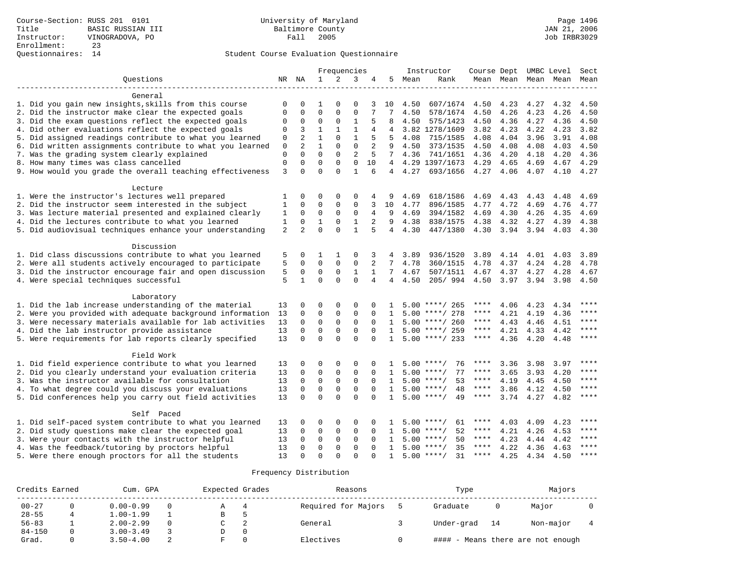|                                                           |              |                |              |              | Frequencies    |                |                 |      | Instructor         | Course Dept |      |                     | UMBC Level | Sect        |
|-----------------------------------------------------------|--------------|----------------|--------------|--------------|----------------|----------------|-----------------|------|--------------------|-------------|------|---------------------|------------|-------------|
| Questions                                                 |              | NR NA          | $\mathbf{1}$ | 2            | 3              | 4              | 5               | Mean | Rank               |             |      | Mean Mean Mean Mean |            | Mean        |
| General                                                   |              |                |              |              |                |                |                 |      |                    |             |      |                     |            |             |
| 1. Did you gain new insights, skills from this course     | 0            | $\Omega$       | 1            | $\Omega$     | $\Omega$       | 3              | 10              | 4.50 | 607/1674           | 4.50        | 4.23 | 4.27                | 4.32       | 4.50        |
| 2. Did the instructor make clear the expected goals       | $\mathbf 0$  | 0              | $\mathbf{0}$ | $\Omega$     | $\mathbf{0}$   | 7              | 7               | 4.50 | 578/1674           | 4.50        | 4.26 | 4.23                | 4.26       | 4.50        |
| 3. Did the exam questions reflect the expected goals      | 0            | 0              | $\mathbf{0}$ | $\mathbf 0$  | 1              | 5              | 8               | 4.50 | 575/1423           | 4.50        | 4.36 | 4.27                | 4.36       | 4.50        |
| 4. Did other evaluations reflect the expected goals       | 0            | 3              | $\mathbf{1}$ | $\mathbf{1}$ | $1\,$          | 4              |                 |      | 3.82 1278/1609     | 3.82        | 4.23 | 4.22                | 4.23       | 3.82        |
| 5. Did assigned readings contribute to what you learned   | $\mathbf 0$  | $\overline{2}$ | $\mathbf{1}$ | $\Omega$     | $\mathbf{1}$   | 5              | .5              | 4.08 | 715/1585           | 4.08        | 4.04 | 3.96                | 3.91       | 4.08        |
| 6. Did written assignments contribute to what you learned | 0            | $\overline{2}$ | $\mathbf{1}$ | $\Omega$     | $\Omega$       | 2              | 9               | 4.50 | 373/1535           | 4.50        | 4.08 | 4.08                | 4.03       | 4.50        |
| 7. Was the grading system clearly explained               | $\mathbf 0$  | $\Omega$       | $\Omega$     | $\Omega$     | $\overline{2}$ | 5              | $7^{\circ}$     | 4.36 | 741/1651           | 4.36        | 4.20 | 4.18                | 4.20       | 4.36        |
| 8. How many times was class cancelled                     | $\mathbf 0$  | $\mathbf 0$    | $\mathbf{0}$ | $\mathbf 0$  | $\mathbf 0$    | 10             | $4\overline{ }$ |      | 4.29 1397/1673     | 4.29        | 4.65 | 4.69                | 4.67       | 4.29        |
| 9. How would you grade the overall teaching effectiveness | 3            | $\Omega$       | $\Omega$     | $\Omega$     | $\mathbf{1}$   | 6              | $\overline{4}$  | 4.27 | 693/1656           | 4.27        | 4.06 | 4.07                | 4.10       | 4.27        |
| Lecture                                                   |              |                |              |              |                |                |                 |      |                    |             |      |                     |            |             |
| 1. Were the instructor's lectures well prepared           | 1            | 0              | 0            | $\mathbf 0$  | $\mathbf 0$    | 4              | 9               | 4.69 | 618/1586           | 4.69        | 4.43 | 4.43                | 4.48       | 4.69        |
| 2. Did the instructor seem interested in the subject      | $\mathbf{1}$ | $\Omega$       | $\mathbf{0}$ | $\mathbf 0$  | $\mathbf{0}$   | 3              | 10              | 4.77 | 896/1585           | 4.77        | 4.72 | 4.69                | 4.76       | 4.77        |
| 3. Was lecture material presented and explained clearly   | 1            | $\mathbf 0$    | $\mathbf{0}$ | $\mathbf 0$  | $\mathbf{0}$   | 4              | 9               | 4.69 | 394/1582           | 4.69        | 4.30 | 4.26                | 4.35       | 4.69        |
| 4. Did the lectures contribute to what you learned        | 1            | 0              | $\mathbf{1}$ | $\mathbf 0$  | $\mathbf{1}$   | 2              | 9               | 4.38 | 838/1575           | 4.38        | 4.32 | 4.27                | 4.39       | 4.38        |
| 5. Did audiovisual techniques enhance your understanding  | 2            | 2              | $\Omega$     | $\Omega$     | $\mathbf{1}$   | 5              | $\overline{4}$  | 4.30 | 447/1380           | 4.30        | 3.94 | 3.94                | 4.03       | 4.30        |
| Discussion                                                |              |                |              |              |                |                |                 |      |                    |             |      |                     |            |             |
| 1. Did class discussions contribute to what you learned   | 5            | 0              | 1            | 1            | $\Omega$       | 3              | 4               | 3.89 | 936/1520           | 3.89        | 4.14 | 4.01                | 4.03       | 3.89        |
| 2. Were all students actively encouraged to participate   | 5            | $\mathbf 0$    | $\mathbf{0}$ | $\mathbf 0$  | $\mathbf{0}$   | 2              | 7               | 4.78 | 360/1515           | 4.78        | 4.37 | 4.24                | 4.28       | 4.78        |
| 3. Did the instructor encourage fair and open discussion  | 5            | $\mathbf 0$    | $\mathbf{0}$ | $\mathbf 0$  | 1              | $\mathbf{1}$   | 7               | 4.67 | 507/1511           | 4.67        | 4.37 | 4.27                | 4.28       | 4.67        |
| 4. Were special techniques successful                     | 5            | $\mathbf{1}$   | $\Omega$     | $\Omega$     | $\Omega$       | $\overline{4}$ | 4               | 4.50 | 205/994            | 4.50        | 3.97 | 3.94                | 3.98       | 4.50        |
| Laboratory                                                |              |                |              |              |                |                |                 |      |                    |             |      |                     |            |             |
| 1. Did the lab increase understanding of the material     | 13           | $\Omega$       | $\Omega$     | $\mathbf 0$  | $\Omega$       | 0              |                 |      | $5.00$ ****/ 265   | ****        | 4.06 | 4.23                | 4.34       | ****        |
| 2. Were you provided with adequate background information | 13           | $\mathbf 0$    | $\mathbf{0}$ | $\mathbf 0$  | $\mathbf{0}$   | $\Omega$       | 1               |      | $5.00$ ****/ 278   | ****        | 4.21 | 4.19                | 4.36       | ****        |
| 3. Were necessary materials available for lab activities  | 13           | $\Omega$       | $\mathbf{0}$ | $\mathbf 0$  | $\mathbf{0}$   | $\Omega$       | 1               |      | $5.00$ ****/ 260   | ****        | 4.43 | 4.46                | 4.51       | ****        |
| 4. Did the lab instructor provide assistance              | 13           | $\mathbf 0$    | $\mathsf 0$  | $\mathsf 0$  | $\mathsf 0$    | $\Omega$       | $\mathbf{1}$    |      | $5.00$ ****/ 259   | $***$ * * * | 4.21 | 4.33                | 4.42       | ****        |
| 5. Were requirements for lab reports clearly specified    | 13           | $\Omega$       | $\Omega$     | $\Omega$     | $\Omega$       | $\Omega$       | $\mathbf{1}$    |      | $5.00$ ****/ 233   | $***$ * * * | 4.36 | 4.20                | 4.48       | $***$       |
| Field Work                                                |              |                |              |              |                |                |                 |      |                    |             |      |                     |            |             |
| 1. Did field experience contribute to what you learned    | 13           | 0              | $\mathbf{0}$ | $\mathbf 0$  | $\mathsf 0$    | $\Omega$       |                 | 5.00 | 76<br>$***$ /      | ****        | 3.36 | 3.98                | 3.97       | $***$ * * * |
| 2. Did you clearly understand your evaluation criteria    | 13           | $\mathbf 0$    | $\mathbf{0}$ | $\mathbf 0$  | $\mathbf 0$    | $\Omega$       | $\mathbf{1}$    | 5.00 | 77<br>$***$ /      | ****        | 3.65 | 3.93                | 4.20       | $***$       |
| 3. Was the instructor available for consultation          | 13           | $\mathbf 0$    | $\mathbf 0$  | $\mathbf 0$  | $\mathbf{0}$   | $\Omega$       | 1               |      | $5.00$ ****/<br>53 | $***$ * * * | 4.19 | 4.45                | 4.50       | ****        |
| 4. To what degree could you discuss your evaluations      | 13           | $\Omega$       | $\mathbf 0$  | $\mathbf 0$  | $\mathbf{0}$   | $\Omega$       | 1               | 5.00 | 48<br>$***$ /      | ****        | 3.86 | 4.12                | 4.50       | $***$       |
| 5. Did conferences help you carry out field activities    | 13           | $\Omega$       | $\Omega$     | $\Omega$     | $\Omega$       | $\Omega$       | $\mathbf{1}$    |      | $5.00$ ****/<br>49 | $***$ * *   | 3.74 | 4.27                | 4.82       | ****        |
| Self Paced                                                |              |                |              |              |                |                |                 |      |                    |             |      |                     |            |             |
| 1. Did self-paced system contribute to what you learned   | 13           | 0              | 0            | $\mathbf 0$  | 0              | $\Omega$       |                 |      | $5.00$ ****/<br>61 | ****        | 4.03 | 4.09                | 4.23       | ****        |
| 2. Did study questions make clear the expected goal       | 13           | $\mathbf 0$    | $\mathsf 0$  | $\mathsf 0$  | $\mathsf 0$    | $\mathbf 0$    | 1               | 5.00 | 52<br>$***$ /      | ****        | 4.21 | 4.26                | 4.53       | ****        |
| 3. Were your contacts with the instructor helpful         | 13           | $\Omega$       | $\mathbf{0}$ | $\mathbf 0$  | $\mathbf{0}$   | $\Omega$       | 1               | 5.00 | 50<br>$***$ /      | ****        | 4.23 | 4.44                | 4.42       | ****        |
| 4. Was the feedback/tutoring by proctors helpful          | 13           | $\Omega$       | $\mathbf{0}$ | $\mathbf 0$  | $\Omega$       | $\Omega$       | 1               | 5.00 | 35<br>$***/$       | ****        | 4.22 | 4.36                | 4.63       | ****        |
| 5. Were there enough proctors for all the students        | 13           | $\Omega$       | $\Omega$     | $\Omega$     | $\Omega$       | $\cap$         | $\mathbf{1}$    |      | $5.00$ ****/<br>31 | ****        | 4.25 | 4.34                | 4.50       | $***$ * * * |

| Credits Earned | Cum. GPA      | Expected Grades | Reasons             | Type       |    | Majors                            |  |
|----------------|---------------|-----------------|---------------------|------------|----|-----------------------------------|--|
| $00 - 27$      | $0.00 - 0.99$ |                 | Required for Majors | Graduate   |    | Major                             |  |
| $28 - 55$      | $1.00 - 1.99$ | в               |                     |            |    |                                   |  |
| $56 - 83$      | $2.00 - 2.99$ |                 | General             | Under-grad | 14 | Non-major                         |  |
| $84 - 150$     | $3.00 - 3.49$ |                 |                     |            |    |                                   |  |
| Grad.          | $3.50 - 4.00$ |                 | Electives           |            |    | #### - Means there are not enough |  |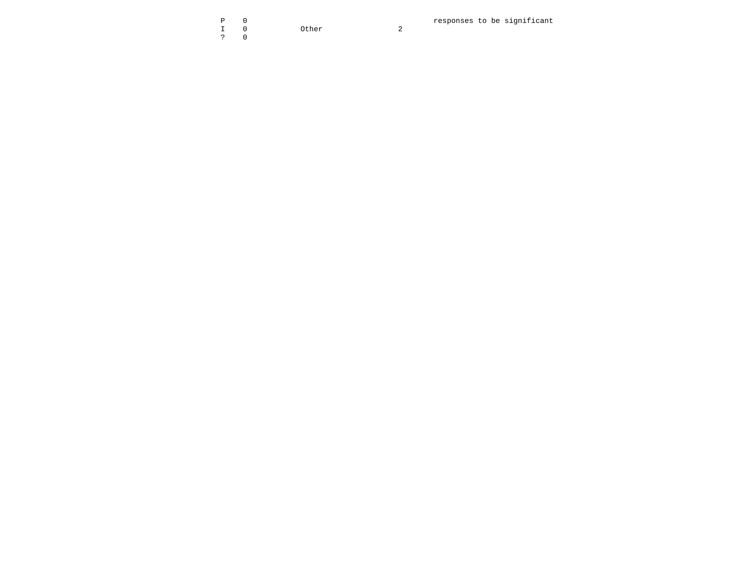|                                                                                                                                                                                                                                                                                                                   | $P = 0$ |           |  |
|-------------------------------------------------------------------------------------------------------------------------------------------------------------------------------------------------------------------------------------------------------------------------------------------------------------------|---------|-----------|--|
|                                                                                                                                                                                                                                                                                                                   |         | I 0 Other |  |
| $\ddot{ }$ $\ddot{ }$ $\ddot{ }$ $\ddot{ }$ $\ddot{ }$ $\ddot{ }$ $\ddot{ }$ $\ddot{ }$ $\ddot{ }$ $\ddot{ }$ $\ddot{ }$ $\ddot{ }$ $\ddot{ }$ $\ddot{ }$ $\ddot{ }$ $\ddot{ }$ $\ddot{ }$ $\ddot{ }$ $\ddot{ }$ $\ddot{ }$ $\ddot{ }$ $\ddot{ }$ $\ddot{ }$ $\ddot{ }$ $\ddot{ }$ $\ddot{ }$ $\ddot{ }$ $\ddot{$ |         |           |  |

0 **p** 0 **responses** to be significant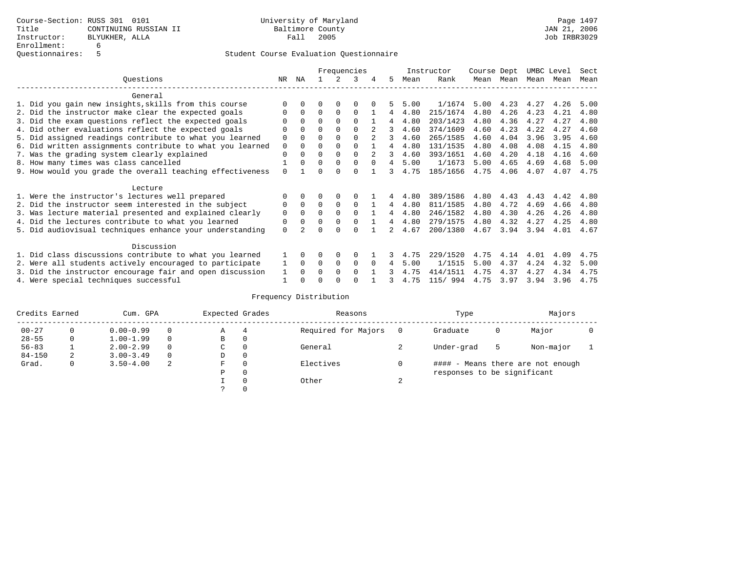|                                                           | Frequencies |          |          |             |          |          |    | Instructor | Course Dept |      | UMBC Level |      | Sect |      |
|-----------------------------------------------------------|-------------|----------|----------|-------------|----------|----------|----|------------|-------------|------|------------|------|------|------|
| Ouestions                                                 | NR.         | ΝA       |          |             | 3        |          | 5. | Mean       | Rank        | Mean | Mean       | Mean | Mean | Mean |
| General                                                   |             |          |          |             |          |          |    |            |             |      |            |      |      |      |
| 1. Did you gain new insights, skills from this course     |             | $\Omega$ | O        | $\Omega$    | O        |          |    | 5.00       | 1/1674      | 5.00 | 4.23       | 4.27 | 4.26 | 5.00 |
| 2. Did the instructor make clear the expected goals       | O           | $\Omega$ | $\Omega$ | $\Omega$    | $\Omega$ |          | 4  | 4.80       | 215/1674    | 4.80 | 4.26       | 4.23 | 4.21 | 4.80 |
| 3. Did the exam questions reflect the expected goals      |             | $\Omega$ | 0        | $\Omega$    | $\Omega$ |          | 4  | 4.80       | 203/1423    | 4.80 | 4.36       | 4.27 | 4.27 | 4.80 |
| 4. Did other evaluations reflect the expected goals       | O           | $\Omega$ | $\Omega$ | $\Omega$    | $\Omega$ |          | 3  | 4.60       | 374/1609    | 4.60 | 4.23       | 4.22 | 4.27 | 4.60 |
| 5. Did assigned readings contribute to what you learned   | $\mathbf 0$ |          | $\Omega$ |             | $\Omega$ |          | 3  | 4.60       | 265/1585    | 4.60 | 4.04       | 3.96 | 3.95 | 4.60 |
| 6. Did written assignments contribute to what you learned | $\mathbf 0$ | $\Omega$ | $\Omega$ | $\Omega$    |          |          | 4  | 4.80       | 131/1535    | 4.80 | 4.08       | 4.08 | 4.15 | 4.80 |
| 7. Was the grading system clearly explained               | $\Omega$    | $\Omega$ | $\Omega$ | $\Omega$    | $\Omega$ |          | 3  | 4.60       | 393/1651    | 4.60 | 4.20       | 4.18 | 4.16 | 4.60 |
| 8. How many times was class cancelled                     |             | $\Omega$ | $\Omega$ | $\Omega$    | $\Omega$ | $\Omega$ | 4  | 5.00       | 1/1673      | 5.00 | 4.65       | 4.69 | 4.68 | 5.00 |
| 9. How would you grade the overall teaching effectiveness | $\Omega$    |          | U        | ∩           | $\cap$   |          | 3  | 4.75       | 185/1656    | 4.75 | 4.06       | 4.07 | 4.07 | 4.75 |
| Lecture                                                   |             |          |          |             |          |          |    |            |             |      |            |      |      |      |
| 1. Were the instructor's lectures well prepared           | 0           |          |          |             |          |          |    | 4.80       | 389/1586    | 4.80 | 4.43       | 4.43 | 4.42 | 4.80 |
| 2. Did the instructor seem interested in the subject      | 0           | $\Omega$ | $\Omega$ | $\Omega$    | $\Omega$ |          | 4  | 4.80       | 811/1585    | 4.80 | 4.72       | 4.69 | 4.66 | 4.80 |
| 3. Was lecture material presented and explained clearly   | $\mathbf 0$ | $\Omega$ | $\Omega$ | $\Omega$    | $\Omega$ |          | 4  | 4.80       | 246/1582    | 4.80 | 4.30       | 4.26 | 4.26 | 4.80 |
| 4. Did the lectures contribute to what you learned        | 0           | $\Omega$ | $\Omega$ | $\Omega$    | $\Omega$ |          | 4  | 4.80       | 279/1575    | 4.80 | 4.32       | 4.27 | 4.25 | 4.80 |
| 5. Did audiovisual techniques enhance your understanding  | $\Omega$    |          |          |             | U        |          |    | 4.67       | 200/1380    | 4.67 | 3.94       | 3.94 | 4.01 | 4.67 |
| Discussion                                                |             |          |          |             |          |          |    |            |             |      |            |      |      |      |
| 1. Did class discussions contribute to what you learned   |             | $\Omega$ | O        | $\Omega$    | $\Omega$ |          |    | 4.75       | 229/1520    | 4.75 | 4.14       | 4.01 | 4.09 | 4.75 |
| 2. Were all students actively encouraged to participate   |             | $\Omega$ | $\Omega$ | $\mathbf 0$ | $\Omega$ |          | 4  | 5.00       | 1/1515      | 5.00 | 4.37       | 4.24 | 4.32 | 5.00 |
| 3. Did the instructor encourage fair and open discussion  | 1           | $\Omega$ | 0        | $\Omega$    | $\Omega$ |          |    | 4.75       | 414/1511    | 4.75 | 4.37       | 4.27 | 4.34 | 4.75 |
| 4. Were special techniques successful                     |             |          |          |             |          |          |    | 4.75       | 115/ 994    | 4.75 | 3.97       | 3.94 | 3.96 | 4.75 |

| Credits Earned |          | Cum. GPA      |          | Expected Grades |          | Reasons             |        | Type                        |   | Majors                            |  |
|----------------|----------|---------------|----------|-----------------|----------|---------------------|--------|-----------------------------|---|-----------------------------------|--|
| $00 - 27$      | $\Omega$ | $0.00 - 0.99$ |          | А               | 4        | Required for Majors | 0      | Graduate                    | 0 | Major                             |  |
| $28 - 55$      | 0        | $1.00 - 1.99$ |          | В               | 0        |                     |        |                             |   |                                   |  |
| $56 - 83$      |          | $2.00 - 2.99$ |          | $\sim$<br>◡     | 0        | General             |        | Under-grad                  | 5 | Non-major                         |  |
| $84 - 150$     | 2        | $3.00 - 3.49$ | $\Omega$ | D               | 0        |                     |        |                             |   |                                   |  |
| Grad.          | 0        | $3.50 - 4.00$ | 2        | F               | 0        | Electives           | 0      |                             |   | #### - Means there are not enough |  |
|                |          |               |          | Ρ               | 0        |                     |        | responses to be significant |   |                                   |  |
|                |          |               |          |                 | $\Omega$ | Other               | $\sim$ |                             |   |                                   |  |
|                |          |               |          |                 |          |                     |        |                             |   |                                   |  |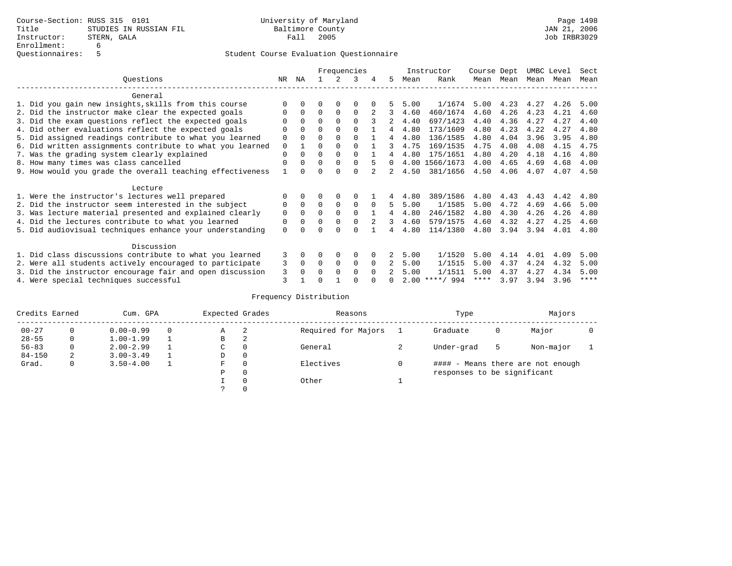|                                                           | Frequencies |          |          |             |          |          | Instructor    | Course Dept |                  | UMBC Level |      | Sect |      |             |
|-----------------------------------------------------------|-------------|----------|----------|-------------|----------|----------|---------------|-------------|------------------|------------|------|------|------|-------------|
| Questions                                                 | NR          | ΝA       |          |             |          | 4        | 5             | Mean        | Rank             | Mean       | Mean | Mean | Mean | Mean        |
| General                                                   |             |          |          |             |          |          |               |             |                  |            |      |      |      |             |
| 1. Did you gain new insights, skills from this course     |             |          |          |             | O        |          |               | 5.00        | 1/1674           | 5.00       | 4.23 | 4.27 | 4.26 | 5.00        |
| 2. Did the instructor make clear the expected goals       |             | $\Omega$ | $\Omega$ | $\Omega$    | $\Omega$ |          | 3             | 4.60        | 460/1674         | 4.60       | 4.26 | 4.23 | 4.21 | 4.60        |
| 3. Did the exam questions reflect the expected goals      |             | $\Omega$ | 0        | $\Omega$    | $\Omega$ |          |               | 4.40        | 697/1423         | 4.40       | 4.36 | 4.27 | 4.27 | 4.40        |
| 4. Did other evaluations reflect the expected goals       | 0           | $\Omega$ | 0        | $\Omega$    | $\Omega$ |          | 4             | 4.80        | 173/1609         | 4.80       | 4.23 | 4.22 | 4.27 | 4.80        |
| 5. Did assigned readings contribute to what you learned   | $\mathbf 0$ |          | $\Omega$ | $\Omega$    | $\Omega$ |          | 4             | 4.80        | 136/1585         | 4.80       | 4.04 | 3.96 | 3.95 | 4.80        |
| 6. Did written assignments contribute to what you learned | 0           |          | 0        | $\Omega$    |          |          | 3             | 4.75        | 169/1535         | 4.75       | 4.08 | 4.08 | 4.15 | 4.75        |
| 7. Was the grading system clearly explained               | $\Omega$    | U        | $\Omega$ | $\Omega$    | $\Omega$ |          |               | 4.80        | 175/1651         | 4.80       | 4.20 | 4.18 | 4.16 | 4.80        |
| 8. How many times was class cancelled                     | $\Omega$    | $\Omega$ | 0        | $\Omega$    | $\Omega$ |          | $\Omega$      |             | 4.00 1566/1673   | 4.00       | 4.65 | 4.69 | 4.68 | 4.00        |
| 9. How would you grade the overall teaching effectiveness |             |          |          |             | U        |          | $\mathcal{L}$ | 4.50        | 381/1656         | 4.50       | 4.06 | 4.07 | 4.07 | 4.50        |
| Lecture                                                   |             |          |          |             |          |          |               |             |                  |            |      |      |      |             |
| 1. Were the instructor's lectures well prepared           |             |          |          |             |          |          |               | 4.80        | 389/1586         | 4.80       | 4.43 | 4.43 | 4.42 | 4.80        |
| 2. Did the instructor seem interested in the subject      | 0           | $\Omega$ | $\Omega$ | $\mathbf 0$ | 0        | $\Omega$ | 5             | 5.00        | 1/1585           | 5.00       | 4.72 | 4.69 | 4.66 | 5.00        |
| 3. Was lecture material presented and explained clearly   | 0           | $\Omega$ | 0        |             | $\Omega$ |          | 4             | 4.80        | 246/1582         | 4.80       | 4.30 | 4.26 | 4.26 | 4.80        |
| 4. Did the lectures contribute to what you learned        | 0           | $\Omega$ | 0        | $\Omega$    | $\Omega$ |          | 3             | 4.60        | 579/1575         | 4.60       | 4.32 | 4.27 | 4.25 | 4.60        |
| 5. Did audiovisual techniques enhance your understanding  | $\Omega$    |          |          |             | $\cap$   |          |               | 4.80        | 114/1380         | 4.80       | 3.94 | 3.94 | 4.01 | 4.80        |
| Discussion                                                |             |          |          |             |          |          |               |             |                  |            |      |      |      |             |
| 1. Did class discussions contribute to what you learned   | 3           | 0        | 0        | $\Omega$    | $\Omega$ |          |               | 5.00        | 1/1520           | 5.00       | 4.14 | 4.01 | 4.09 | 5.00        |
| 2. Were all students actively encouraged to participate   | 3           | $\Omega$ | $\Omega$ | $\Omega$    | 0        | $\Omega$ |               | 5.00        | 1/1515           | 5.00       | 4.37 | 4.24 | 4.32 | 5.00        |
| 3. Did the instructor encourage fair and open discussion  | 3           | $\Omega$ | O        | $\Omega$    | $\Omega$ | $\Omega$ |               | 5.00        | 1/1511           | 5.00       | 4.37 | 4.27 | 4.34 | 5.00        |
| 4. Were special techniques successful                     | 3           |          |          |             |          |          |               |             | $2.00$ ****/ 994 | ****       | 3.97 | 3.94 | 3.96 | $***$ * * * |

| Credits Earned |              | Cum. GPA      | Expected Grades |          | Reasons             |  | Type                        |   | Majors                            |  |
|----------------|--------------|---------------|-----------------|----------|---------------------|--|-----------------------------|---|-----------------------------------|--|
| $00 - 27$      |              | $0.00 - 0.99$ | Α               | -2       | Required for Majors |  | Graduate                    | 0 | Major                             |  |
| $28 - 55$      | $\mathbf{0}$ | $1.00 - 1.99$ | В               | 2        |                     |  |                             |   |                                   |  |
| $56 - 83$      | $\mathbf{0}$ | $2.00 - 2.99$ | C.              | $\Omega$ | General             |  | Under-grad                  | 5 | Non-major                         |  |
| $84 - 150$     | 2            | $3.00 - 3.49$ | D               | 0        |                     |  |                             |   |                                   |  |
| Grad.          | $\mathbf{0}$ | $3.50 - 4.00$ | F               | $\Omega$ | Electives           |  |                             |   | #### - Means there are not enough |  |
|                |              |               | Ρ               | 0        |                     |  | responses to be significant |   |                                   |  |
|                |              |               |                 | $\Omega$ | Other               |  |                             |   |                                   |  |
|                |              |               |                 |          |                     |  |                             |   |                                   |  |